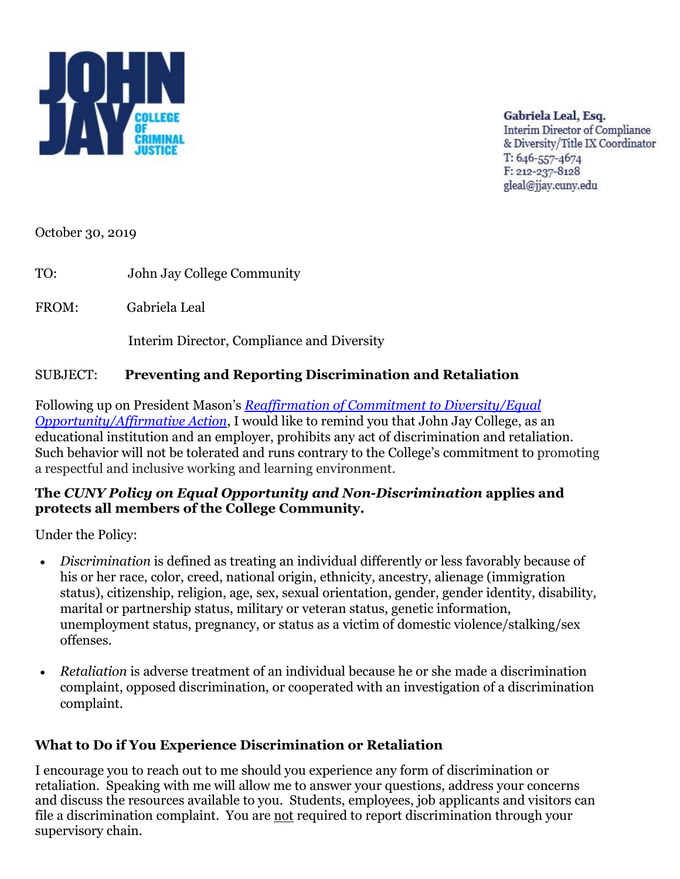

Gabriela Leal, Esq. **Interim Director of Compliance** & Diversity/Title IX Coordinator T: 646-557-4674 F: 212-237-8128 gleal@jiav.cunv.edu

October 30, 2019

TO: John Jay College Community

FROM: Gabriela Leal

Interim Director, Compliance and Diversity

### SUBJECT: **Preventing and Reporting Discrimination and Retaliation**

Following up on President Mason's *[Reaffirmation of Commitment to Diversity/Equal](http://www.jjay.cuny.edu/sites/default/files/president/Reaffirmation_Commitment_to_Diversity_equal_opportunity.pdf)  [Opportunity/Affirmative Action](http://www.jjay.cuny.edu/sites/default/files/president/Reaffirmation_Commitment_to_Diversity_equal_opportunity.pdf)*, I would like to remind you that John Jay College, as an educational institution and an employer, prohibits any act of discrimination and retaliation. Such behavior will not be tolerated and runs contrary to the College's commitment to promoting a respectful and inclusive working and learning environment.

#### **The** *CUNY Policy on Equal Opportunity and Non-Discrimination* **applies and protects all members of the College Community.**

Under the Policy:

- *Discrimination* is defined as treating an individual differently or less favorably because of his or her race, color, creed, national origin, ethnicity, ancestry, alienage (immigration status), citizenship, religion, age, sex, sexual orientation, gender, gender identity, disability, marital or partnership status, military or veteran status, genetic information, unemployment status, pregnancy, or status as a victim of domestic violence/stalking/sex offenses.
- *Retaliation* is adverse treatment of an individual because he or she made a discrimination complaint, opposed discrimination, or cooperated with an investigation of a discrimination complaint.

#### **What to Do if You Experience Discrimination or Retaliation**

I encourage you to reach out to me should you experience any form of discrimination or retaliation. Speaking with me will allow me to answer your questions, address your concerns and discuss the resources available to you. Students, employees, job applicants and visitors can file a discrimination complaint. You are not required to report discrimination through your supervisory chain.